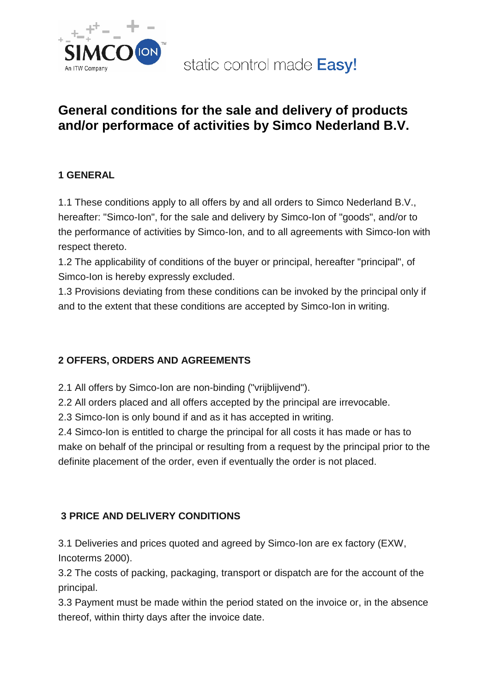

static control made Easy!

# **General conditions for the sale and delivery of products and/or performace of activities by Simco Nederland B.V.**

## **1 GENERAL**

1.1 These conditions apply to all offers by and all orders to Simco Nederland B.V., hereafter: "Simco-Ion", for the sale and delivery by Simco-Ion of "goods", and/or to the performance of activities by Simco-Ion, and to all agreements with Simco-Ion with respect thereto.

1.2 The applicability of conditions of the buyer or principal, hereafter "principal", of Simco-Ion is hereby expressly excluded.

1.3 Provisions deviating from these conditions can be invoked by the principal only if and to the extent that these conditions are accepted by Simco-Ion in writing.

## **2 OFFERS, ORDERS AND AGREEMENTS**

2.1 All offers by Simco-Ion are non-binding ("vrijblijvend").

2.2 All orders placed and all offers accepted by the principal are irrevocable.

2.3 Simco-Ion is only bound if and as it has accepted in writing.

2.4 Simco-Ion is entitled to charge the principal for all costs it has made or has to make on behalf of the principal or resulting from a request by the principal prior to the definite placement of the order, even if eventually the order is not placed.

# **3 PRICE AND DELIVERY CONDITIONS**

3.1 Deliveries and prices quoted and agreed by Simco-Ion are ex factory (EXW, Incoterms 2000).

3.2 The costs of packing, packaging, transport or dispatch are for the account of the principal.

3.3 Payment must be made within the period stated on the invoice or, in the absence thereof, within thirty days after the invoice date.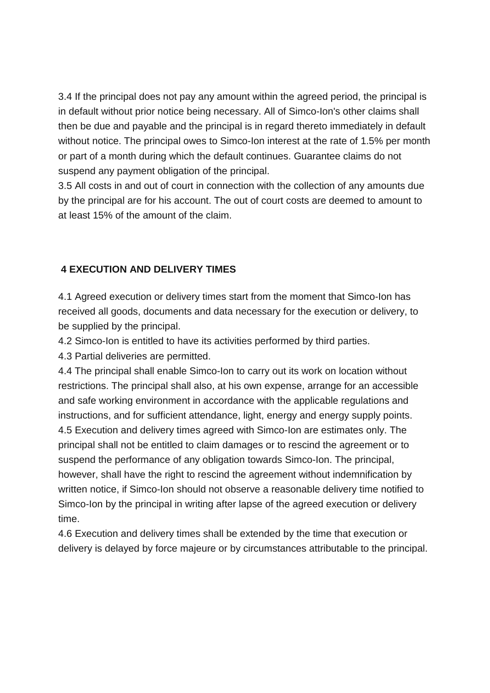3.4 If the principal does not pay any amount within the agreed period, the principal is in default without prior notice being necessary. All of Simco-Ion's other claims shall then be due and payable and the principal is in regard thereto immediately in default without notice. The principal owes to Simco-Ion interest at the rate of 1.5% per month or part of a month during which the default continues. Guarantee claims do not suspend any payment obligation of the principal.

3.5 All costs in and out of court in connection with the collection of any amounts due by the principal are for his account. The out of court costs are deemed to amount to at least 15% of the amount of the claim.

## **4 EXECUTION AND DELIVERY TIMES**

4.1 Agreed execution or delivery times start from the moment that Simco-Ion has received all goods, documents and data necessary for the execution or delivery, to be supplied by the principal.

4.2 Simco-Ion is entitled to have its activities performed by third parties.

4.3 Partial deliveries are permitted.

4.4 The principal shall enable Simco-Ion to carry out its work on location without restrictions. The principal shall also, at his own expense, arrange for an accessible and safe working environment in accordance with the applicable regulations and instructions, and for sufficient attendance, light, energy and energy supply points. 4.5 Execution and delivery times agreed with Simco-Ion are estimates only. The principal shall not be entitled to claim damages or to rescind the agreement or to suspend the performance of any obligation towards Simco-Ion. The principal, however, shall have the right to rescind the agreement without indemnification by written notice, if Simco-Ion should not observe a reasonable delivery time notified to Simco-Ion by the principal in writing after lapse of the agreed execution or delivery time.

4.6 Execution and delivery times shall be extended by the time that execution or delivery is delayed by force majeure or by circumstances attributable to the principal.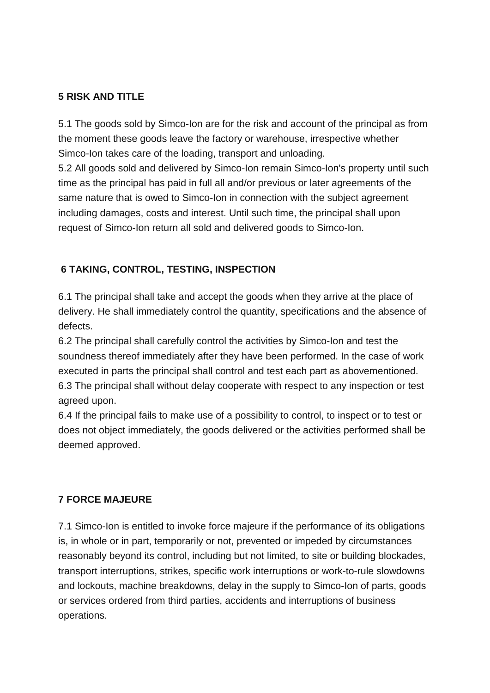## **5 RISK AND TITLE**

5.1 The goods sold by Simco-Ion are for the risk and account of the principal as from the moment these goods leave the factory or warehouse, irrespective whether Simco-Ion takes care of the loading, transport and unloading.

5.2 All goods sold and delivered by Simco-Ion remain Simco-Ion's property until such time as the principal has paid in full all and/or previous or later agreements of the same nature that is owed to Simco-Ion in connection with the subject agreement including damages, costs and interest. Until such time, the principal shall upon request of Simco-Ion return all sold and delivered goods to Simco-Ion.

## **6 TAKING, CONTROL, TESTING, INSPECTION**

6.1 The principal shall take and accept the goods when they arrive at the place of delivery. He shall immediately control the quantity, specifications and the absence of defects.

6.2 The principal shall carefully control the activities by Simco-Ion and test the soundness thereof immediately after they have been performed. In the case of work executed in parts the principal shall control and test each part as abovementioned. 6.3 The principal shall without delay cooperate with respect to any inspection or test agreed upon.

6.4 If the principal fails to make use of a possibility to control, to inspect or to test or does not object immediately, the goods delivered or the activities performed shall be deemed approved.

#### **7 FORCE MAJEURE**

7.1 Simco-Ion is entitled to invoke force majeure if the performance of its obligations is, in whole or in part, temporarily or not, prevented or impeded by circumstances reasonably beyond its control, including but not limited, to site or building blockades, transport interruptions, strikes, specific work interruptions or work-to-rule slowdowns and lockouts, machine breakdowns, delay in the supply to Simco-Ion of parts, goods or services ordered from third parties, accidents and interruptions of business operations.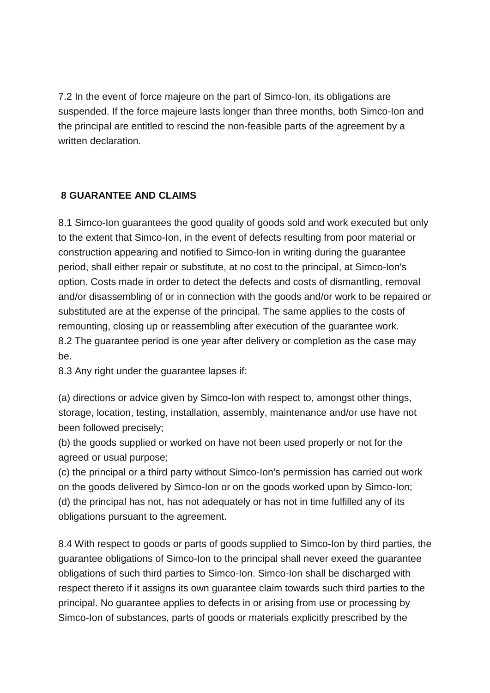7.2 In the event of force majeure on the part of Simco-Ion, its obligations are suspended. If the force majeure lasts longer than three months, both Simco-Ion and the principal are entitled to rescind the non-feasible parts of the agreement by a written declaration

## **8 GUARANTEE AND CLAIMS**

8.1 Simco-Ion guarantees the good quality of goods sold and work executed but only to the extent that Simco-Ion, in the event of defects resulting from poor material or construction appearing and notified to Simco-Ion in writing during the guarantee period, shall either repair or substitute, at no cost to the principal, at Simco-Ion's option. Costs made in order to detect the defects and costs of dismantling, removal and/or disassembling of or in connection with the goods and/or work to be repaired or substituted are at the expense of the principal. The same applies to the costs of remounting, closing up or reassembling after execution of the guarantee work. 8.2 The guarantee period is one year after delivery or completion as the case may be.

8.3 Any right under the guarantee lapses if:

(a) directions or advice given by Simco-Ion with respect to, amongst other things, storage, location, testing, installation, assembly, maintenance and/or use have not been followed precisely;

(b) the goods supplied or worked on have not been used properly or not for the agreed or usual purpose;

(c) the principal or a third party without Simco-Ion's permission has carried out work on the goods delivered by Simco-Ion or on the goods worked upon by Simco-Ion; (d) the principal has not, has not adequately or has not in time fulfilled any of its obligations pursuant to the agreement.

8.4 With respect to goods or parts of goods supplied to Simco-Ion by third parties, the guarantee obligations of Simco-Ion to the principal shall never exeed the guarantee obligations of such third parties to Simco-Ion. Simco-Ion shall be discharged with respect thereto if it assigns its own guarantee claim towards such third parties to the principal. No guarantee applies to defects in or arising from use or processing by Simco-Ion of substances, parts of goods or materials explicitly prescribed by the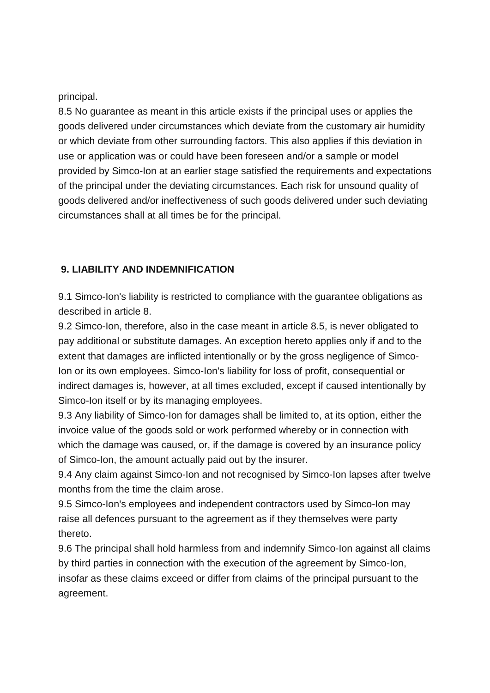#### principal.

8.5 No guarantee as meant in this article exists if the principal uses or applies the goods delivered under circumstances which deviate from the customary air humidity or which deviate from other surrounding factors. This also applies if this deviation in use or application was or could have been foreseen and/or a sample or model provided by Simco-Ion at an earlier stage satisfied the requirements and expectations of the principal under the deviating circumstances. Each risk for unsound quality of goods delivered and/or ineffectiveness of such goods delivered under such deviating circumstances shall at all times be for the principal.

## **9. LIABILITY AND INDEMNIFICATION**

9.1 Simco-Ion's liability is restricted to compliance with the guarantee obligations as described in article 8.

9.2 Simco-Ion, therefore, also in the case meant in article 8.5, is never obligated to pay additional or substitute damages. An exception hereto applies only if and to the extent that damages are inflicted intentionally or by the gross negligence of Simco-Ion or its own employees. Simco-Ion's liability for loss of profit, consequential or indirect damages is, however, at all times excluded, except if caused intentionally by Simco-Ion itself or by its managing employees.

9.3 Any liability of Simco-Ion for damages shall be limited to, at its option, either the invoice value of the goods sold or work performed whereby or in connection with which the damage was caused, or, if the damage is covered by an insurance policy of Simco-Ion, the amount actually paid out by the insurer.

9.4 Any claim against Simco-Ion and not recognised by Simco-Ion lapses after twelve months from the time the claim arose.

9.5 Simco-Ion's employees and independent contractors used by Simco-Ion may raise all defences pursuant to the agreement as if they themselves were party thereto.

9.6 The principal shall hold harmless from and indemnify Simco-Ion against all claims by third parties in connection with the execution of the agreement by Simco-Ion, insofar as these claims exceed or differ from claims of the principal pursuant to the agreement.